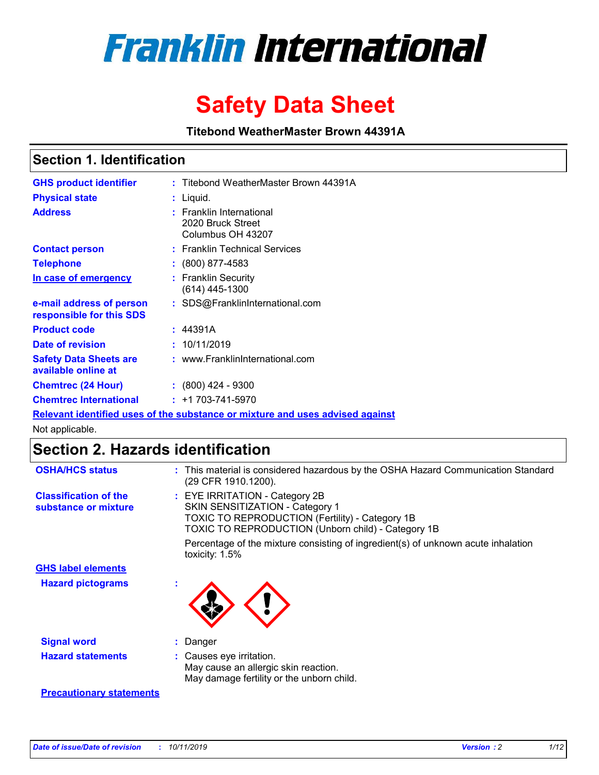

# **Safety Data Sheet**

**Titebond WeatherMaster Brown 44391A**

### **Section 1. Identification**

| <b>GHS product identifier</b>                        | : Titebond WeatherMaster Brown 44391A                                         |
|------------------------------------------------------|-------------------------------------------------------------------------------|
| <b>Physical state</b>                                | : Liquid.                                                                     |
| <b>Address</b>                                       | : Franklin International<br>2020 Bruck Street<br>Columbus OH 43207            |
| <b>Contact person</b>                                | : Franklin Technical Services                                                 |
| <b>Telephone</b>                                     | $\div$ (800) 877-4583                                                         |
| In case of emergency                                 | : Franklin Security<br>(614) 445-1300                                         |
| e-mail address of person<br>responsible for this SDS | : SDS@FranklinInternational.com                                               |
| <b>Product code</b>                                  | : 44391A                                                                      |
| Date of revision                                     | : 10/11/2019                                                                  |
| <b>Safety Data Sheets are</b><br>available online at | : www.FranklinInternational.com                                               |
| <b>Chemtrec (24 Hour)</b>                            | $: (800)$ 424 - 9300                                                          |
| <b>Chemtrec International</b>                        | $: +1703 - 741 - 5970$                                                        |
|                                                      | Relevant identified uses of the substance or mixture and uses advised against |

Not applicable.

# **Section 2. Hazards identification**

| <b>OSHA/HCS status</b>                               | : This material is considered hazardous by the OSHA Hazard Communication Standard<br>(29 CFR 1910.1200).                                                                          |
|------------------------------------------------------|-----------------------------------------------------------------------------------------------------------------------------------------------------------------------------------|
| <b>Classification of the</b><br>substance or mixture | : EYE IRRITATION - Category 2B<br>SKIN SENSITIZATION - Category 1<br><b>TOXIC TO REPRODUCTION (Fertility) - Category 1B</b><br>TOXIC TO REPRODUCTION (Unborn child) - Category 1B |
|                                                      | Percentage of the mixture consisting of ingredient(s) of unknown acute inhalation<br>toxicity: $1.5\%$                                                                            |
| <b>GHS label elements</b>                            |                                                                                                                                                                                   |
| <b>Hazard pictograms</b>                             |                                                                                                                                                                                   |
| <b>Signal word</b>                                   | : Danger                                                                                                                                                                          |
| <b>Hazard statements</b>                             | : Causes eye irritation.<br>May cause an allergic skin reaction.<br>May damage fertility or the unborn child.                                                                     |
| <b>Precautionary statements</b>                      |                                                                                                                                                                                   |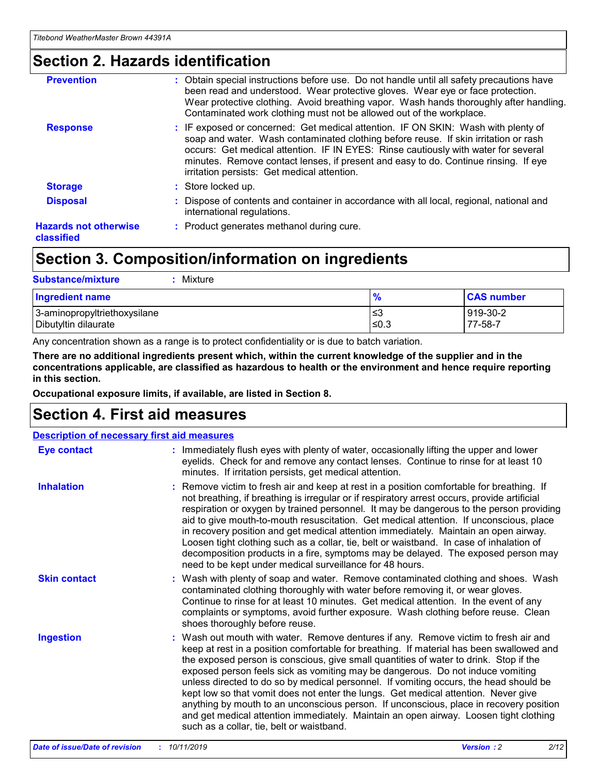### **Section 2. Hazards identification**

| <b>Prevention</b>                          | : Obtain special instructions before use. Do not handle until all safety precautions have<br>been read and understood. Wear protective gloves. Wear eye or face protection.<br>Wear protective clothing. Avoid breathing vapor. Wash hands thoroughly after handling.<br>Contaminated work clothing must not be allowed out of the workplace.                                                        |
|--------------------------------------------|------------------------------------------------------------------------------------------------------------------------------------------------------------------------------------------------------------------------------------------------------------------------------------------------------------------------------------------------------------------------------------------------------|
| <b>Response</b>                            | : IF exposed or concerned: Get medical attention. IF ON SKIN: Wash with plenty of<br>soap and water. Wash contaminated clothing before reuse. If skin irritation or rash<br>occurs: Get medical attention. IF IN EYES: Rinse cautiously with water for several<br>minutes. Remove contact lenses, if present and easy to do. Continue rinsing. If eye<br>irritation persists: Get medical attention. |
| <b>Storage</b>                             | : Store locked up.                                                                                                                                                                                                                                                                                                                                                                                   |
| <b>Disposal</b>                            | : Dispose of contents and container in accordance with all local, regional, national and<br>international regulations.                                                                                                                                                                                                                                                                               |
| <b>Hazards not otherwise</b><br>classified | : Product generates methanol during cure.                                                                                                                                                                                                                                                                                                                                                            |

## **Section 3. Composition/information on ingredients**

| <b>Substance/mixture</b><br>Mixture                  |                   |                     |
|------------------------------------------------------|-------------------|---------------------|
| <b>Ingredient name</b>                               | $\frac{9}{6}$     | <b>CAS number</b>   |
| 3-aminopropyltriethoxysilane<br>Dibutyltin dilaurate | l≤3<br>$\leq 0.3$ | 919-30-2<br>77-58-7 |

Any concentration shown as a range is to protect confidentiality or is due to batch variation.

**There are no additional ingredients present which, within the current knowledge of the supplier and in the concentrations applicable, are classified as hazardous to health or the environment and hence require reporting in this section.**

**Occupational exposure limits, if available, are listed in Section 8.**

### **Section 4. First aid measures**

| <b>Description of necessary first aid measures</b> |                                                                                                                                                                                                                                                                                                                                                                                                                                                                                                                                                                                                                                                                                                                                                                           |  |  |  |
|----------------------------------------------------|---------------------------------------------------------------------------------------------------------------------------------------------------------------------------------------------------------------------------------------------------------------------------------------------------------------------------------------------------------------------------------------------------------------------------------------------------------------------------------------------------------------------------------------------------------------------------------------------------------------------------------------------------------------------------------------------------------------------------------------------------------------------------|--|--|--|
| <b>Eye contact</b>                                 | : Immediately flush eyes with plenty of water, occasionally lifting the upper and lower<br>eyelids. Check for and remove any contact lenses. Continue to rinse for at least 10<br>minutes. If irritation persists, get medical attention.                                                                                                                                                                                                                                                                                                                                                                                                                                                                                                                                 |  |  |  |
| <b>Inhalation</b>                                  | : Remove victim to fresh air and keep at rest in a position comfortable for breathing. If<br>not breathing, if breathing is irregular or if respiratory arrest occurs, provide artificial<br>respiration or oxygen by trained personnel. It may be dangerous to the person providing<br>aid to give mouth-to-mouth resuscitation. Get medical attention. If unconscious, place<br>in recovery position and get medical attention immediately. Maintain an open airway.<br>Loosen tight clothing such as a collar, tie, belt or waistband. In case of inhalation of<br>decomposition products in a fire, symptoms may be delayed. The exposed person may<br>need to be kept under medical surveillance for 48 hours.                                                       |  |  |  |
| <b>Skin contact</b>                                | : Wash with plenty of soap and water. Remove contaminated clothing and shoes. Wash<br>contaminated clothing thoroughly with water before removing it, or wear gloves.<br>Continue to rinse for at least 10 minutes. Get medical attention. In the event of any<br>complaints or symptoms, avoid further exposure. Wash clothing before reuse. Clean<br>shoes thoroughly before reuse.                                                                                                                                                                                                                                                                                                                                                                                     |  |  |  |
| <b>Ingestion</b>                                   | : Wash out mouth with water. Remove dentures if any. Remove victim to fresh air and<br>keep at rest in a position comfortable for breathing. If material has been swallowed and<br>the exposed person is conscious, give small quantities of water to drink. Stop if the<br>exposed person feels sick as vomiting may be dangerous. Do not induce vomiting<br>unless directed to do so by medical personnel. If vomiting occurs, the head should be<br>kept low so that vomit does not enter the lungs. Get medical attention. Never give<br>anything by mouth to an unconscious person. If unconscious, place in recovery position<br>and get medical attention immediately. Maintain an open airway. Loosen tight clothing<br>such as a collar, tie, belt or waistband. |  |  |  |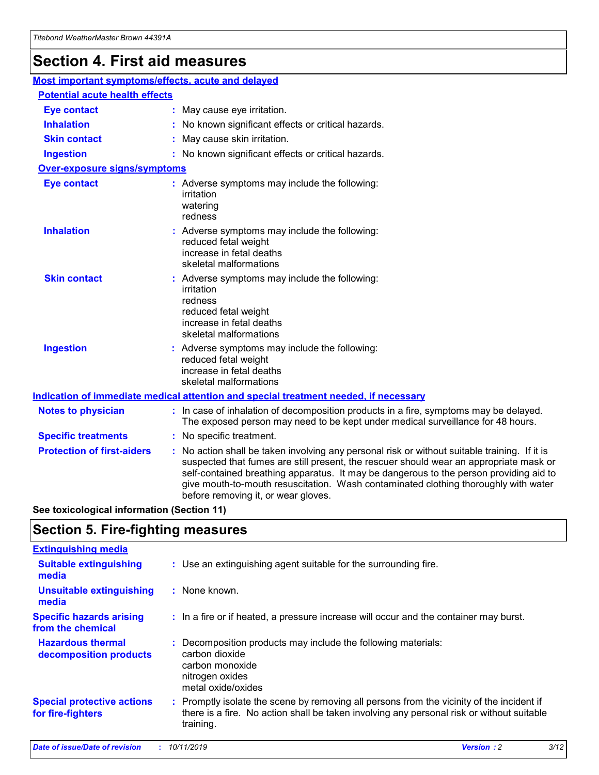# **Section 4. First aid measures**

| Most important symptoms/effects, acute and delayed |  |                                                                                                                                                                                                                                                                                                                                                                                                                 |  |
|----------------------------------------------------|--|-----------------------------------------------------------------------------------------------------------------------------------------------------------------------------------------------------------------------------------------------------------------------------------------------------------------------------------------------------------------------------------------------------------------|--|
| <b>Potential acute health effects</b>              |  |                                                                                                                                                                                                                                                                                                                                                                                                                 |  |
| Eye contact                                        |  | : May cause eye irritation.                                                                                                                                                                                                                                                                                                                                                                                     |  |
| <b>Inhalation</b>                                  |  | : No known significant effects or critical hazards.                                                                                                                                                                                                                                                                                                                                                             |  |
| <b>Skin contact</b>                                |  | : May cause skin irritation.                                                                                                                                                                                                                                                                                                                                                                                    |  |
| <b>Ingestion</b>                                   |  | : No known significant effects or critical hazards.                                                                                                                                                                                                                                                                                                                                                             |  |
| Over-exposure signs/symptoms                       |  |                                                                                                                                                                                                                                                                                                                                                                                                                 |  |
| <b>Eye contact</b>                                 |  | : Adverse symptoms may include the following:<br>irritation<br>watering<br>redness                                                                                                                                                                                                                                                                                                                              |  |
| <b>Inhalation</b>                                  |  | : Adverse symptoms may include the following:<br>reduced fetal weight<br>increase in fetal deaths<br>skeletal malformations                                                                                                                                                                                                                                                                                     |  |
| <b>Skin contact</b>                                |  | : Adverse symptoms may include the following:<br>irritation<br>redness<br>reduced fetal weight<br>increase in fetal deaths<br>skeletal malformations                                                                                                                                                                                                                                                            |  |
| <b>Ingestion</b>                                   |  | : Adverse symptoms may include the following:<br>reduced fetal weight<br>increase in fetal deaths<br>skeletal malformations                                                                                                                                                                                                                                                                                     |  |
|                                                    |  | <b>Indication of immediate medical attention and special treatment needed, if necessary</b>                                                                                                                                                                                                                                                                                                                     |  |
| <b>Notes to physician</b>                          |  | : In case of inhalation of decomposition products in a fire, symptoms may be delayed.<br>The exposed person may need to be kept under medical surveillance for 48 hours.                                                                                                                                                                                                                                        |  |
| <b>Specific treatments</b>                         |  | : No specific treatment.                                                                                                                                                                                                                                                                                                                                                                                        |  |
| <b>Protection of first-aiders</b>                  |  | : No action shall be taken involving any personal risk or without suitable training. If it is<br>suspected that fumes are still present, the rescuer should wear an appropriate mask or<br>self-contained breathing apparatus. It may be dangerous to the person providing aid to<br>give mouth-to-mouth resuscitation. Wash contaminated clothing thoroughly with water<br>before removing it, or wear gloves. |  |

**See toxicological information (Section 11)**

### **Section 5. Fire-fighting measures**

| <b>Extinguishing media</b>                             |                                                                                                                                                                                                     |
|--------------------------------------------------------|-----------------------------------------------------------------------------------------------------------------------------------------------------------------------------------------------------|
| <b>Suitable extinguishing</b><br>media                 | : Use an extinguishing agent suitable for the surrounding fire.                                                                                                                                     |
| <b>Unsuitable extinguishing</b><br>media               | : None known.                                                                                                                                                                                       |
| <b>Specific hazards arising</b><br>from the chemical   | : In a fire or if heated, a pressure increase will occur and the container may burst.                                                                                                               |
| <b>Hazardous thermal</b><br>decomposition products     | : Decomposition products may include the following materials:<br>carbon dioxide<br>carbon monoxide<br>nitrogen oxides<br>metal oxide/oxides                                                         |
| <b>Special protective actions</b><br>for fire-fighters | : Promptly isolate the scene by removing all persons from the vicinity of the incident if<br>there is a fire. No action shall be taken involving any personal risk or without suitable<br>training. |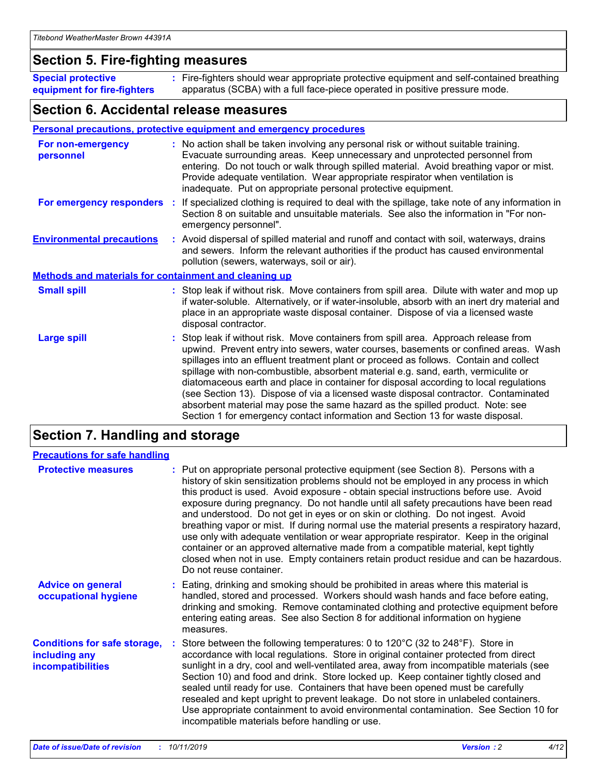### **Section 5. Fire-fighting measures**

**Special protective equipment for fire-fighters** Fire-fighters should wear appropriate protective equipment and self-contained breathing **:** apparatus (SCBA) with a full face-piece operated in positive pressure mode.

### **Section 6. Accidental release measures**

#### **Personal precautions, protective equipment and emergency procedures**

| For non-emergency<br>personnel                               |  | : No action shall be taken involving any personal risk or without suitable training.<br>Evacuate surrounding areas. Keep unnecessary and unprotected personnel from<br>entering. Do not touch or walk through spilled material. Avoid breathing vapor or mist.<br>Provide adequate ventilation. Wear appropriate respirator when ventilation is<br>inadequate. Put on appropriate personal protective equipment.                                                                                                                                                                                                                                                                                             |  |  |
|--------------------------------------------------------------|--|--------------------------------------------------------------------------------------------------------------------------------------------------------------------------------------------------------------------------------------------------------------------------------------------------------------------------------------------------------------------------------------------------------------------------------------------------------------------------------------------------------------------------------------------------------------------------------------------------------------------------------------------------------------------------------------------------------------|--|--|
|                                                              |  | For emergency responders : If specialized clothing is required to deal with the spillage, take note of any information in<br>Section 8 on suitable and unsuitable materials. See also the information in "For non-<br>emergency personnel".                                                                                                                                                                                                                                                                                                                                                                                                                                                                  |  |  |
| <b>Environmental precautions</b>                             |  | : Avoid dispersal of spilled material and runoff and contact with soil, waterways, drains<br>and sewers. Inform the relevant authorities if the product has caused environmental<br>pollution (sewers, waterways, soil or air).                                                                                                                                                                                                                                                                                                                                                                                                                                                                              |  |  |
| <b>Methods and materials for containment and cleaning up</b> |  |                                                                                                                                                                                                                                                                                                                                                                                                                                                                                                                                                                                                                                                                                                              |  |  |
| <b>Small spill</b>                                           |  | : Stop leak if without risk. Move containers from spill area. Dilute with water and mop up<br>if water-soluble. Alternatively, or if water-insoluble, absorb with an inert dry material and<br>place in an appropriate waste disposal container. Dispose of via a licensed waste<br>disposal contractor.                                                                                                                                                                                                                                                                                                                                                                                                     |  |  |
| <b>Large spill</b>                                           |  | : Stop leak if without risk. Move containers from spill area. Approach release from<br>upwind. Prevent entry into sewers, water courses, basements or confined areas. Wash<br>spillages into an effluent treatment plant or proceed as follows. Contain and collect<br>spillage with non-combustible, absorbent material e.g. sand, earth, vermiculite or<br>diatomaceous earth and place in container for disposal according to local regulations<br>(see Section 13). Dispose of via a licensed waste disposal contractor. Contaminated<br>absorbent material may pose the same hazard as the spilled product. Note: see<br>Section 1 for emergency contact information and Section 13 for waste disposal. |  |  |

### **Section 7. Handling and storage**

| <b>Precautions for safe handling</b>                                             |                                                                                                                                                                                                                                                                                                                                                                                                                                                                                                                                                                                                                                                                                                                                                                                                                                                  |
|----------------------------------------------------------------------------------|--------------------------------------------------------------------------------------------------------------------------------------------------------------------------------------------------------------------------------------------------------------------------------------------------------------------------------------------------------------------------------------------------------------------------------------------------------------------------------------------------------------------------------------------------------------------------------------------------------------------------------------------------------------------------------------------------------------------------------------------------------------------------------------------------------------------------------------------------|
| <b>Protective measures</b>                                                       | : Put on appropriate personal protective equipment (see Section 8). Persons with a<br>history of skin sensitization problems should not be employed in any process in which<br>this product is used. Avoid exposure - obtain special instructions before use. Avoid<br>exposure during pregnancy. Do not handle until all safety precautions have been read<br>and understood. Do not get in eyes or on skin or clothing. Do not ingest. Avoid<br>breathing vapor or mist. If during normal use the material presents a respiratory hazard,<br>use only with adequate ventilation or wear appropriate respirator. Keep in the original<br>container or an approved alternative made from a compatible material, kept tightly<br>closed when not in use. Empty containers retain product residue and can be hazardous.<br>Do not reuse container. |
| <b>Advice on general</b><br>occupational hygiene                                 | : Eating, drinking and smoking should be prohibited in areas where this material is<br>handled, stored and processed. Workers should wash hands and face before eating,<br>drinking and smoking. Remove contaminated clothing and protective equipment before<br>entering eating areas. See also Section 8 for additional information on hygiene<br>measures.                                                                                                                                                                                                                                                                                                                                                                                                                                                                                    |
| <b>Conditions for safe storage,</b><br>including any<br><b>incompatibilities</b> | : Store between the following temperatures: 0 to 120 $\degree$ C (32 to 248 $\degree$ F). Store in<br>accordance with local regulations. Store in original container protected from direct<br>sunlight in a dry, cool and well-ventilated area, away from incompatible materials (see<br>Section 10) and food and drink. Store locked up. Keep container tightly closed and<br>sealed until ready for use. Containers that have been opened must be carefully<br>resealed and kept upright to prevent leakage. Do not store in unlabeled containers.<br>Use appropriate containment to avoid environmental contamination. See Section 10 for<br>incompatible materials before handling or use.                                                                                                                                                   |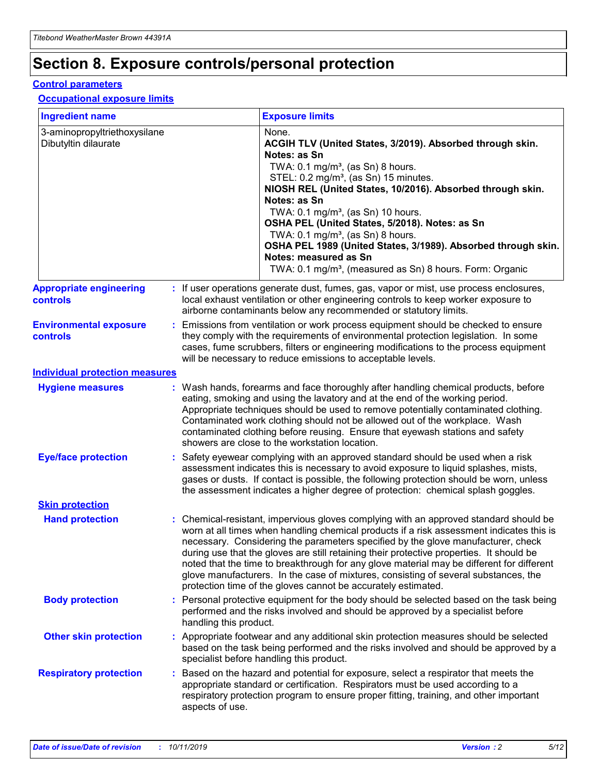# **Section 8. Exposure controls/personal protection**

#### **Control parameters**

#### **Occupational exposure limits**

| <b>Ingredient name</b>                               |    |                        | <b>Exposure limits</b>                                                                                                                                                                                                                                                                                                                                                                                                                                                                                                                                                                                                 |
|------------------------------------------------------|----|------------------------|------------------------------------------------------------------------------------------------------------------------------------------------------------------------------------------------------------------------------------------------------------------------------------------------------------------------------------------------------------------------------------------------------------------------------------------------------------------------------------------------------------------------------------------------------------------------------------------------------------------------|
| 3-aminopropyltriethoxysilane<br>Dibutyltin dilaurate |    |                        | None.<br>ACGIH TLV (United States, 3/2019). Absorbed through skin.<br>Notes: as Sn<br>TWA: 0.1 mg/m <sup>3</sup> , (as Sn) 8 hours.<br>STEL: 0.2 mg/m <sup>3</sup> , (as Sn) 15 minutes.<br>NIOSH REL (United States, 10/2016). Absorbed through skin.<br>Notes: as Sn<br>TWA: 0.1 mg/m <sup>3</sup> , (as Sn) 10 hours.<br>OSHA PEL (United States, 5/2018). Notes: as Sn<br>TWA: $0.1 \text{ mg/m}^3$ , (as Sn) 8 hours.<br>OSHA PEL 1989 (United States, 3/1989). Absorbed through skin.<br>Notes: measured as Sn<br>TWA: 0.1 mg/m <sup>3</sup> , (measured as Sn) 8 hours. Form: Organic                           |
| <b>Appropriate engineering</b><br>controls           |    |                        | : If user operations generate dust, fumes, gas, vapor or mist, use process enclosures,<br>local exhaust ventilation or other engineering controls to keep worker exposure to<br>airborne contaminants below any recommended or statutory limits.                                                                                                                                                                                                                                                                                                                                                                       |
| <b>Environmental exposure</b><br><b>controls</b>     |    |                        | Emissions from ventilation or work process equipment should be checked to ensure<br>they comply with the requirements of environmental protection legislation. In some<br>cases, fume scrubbers, filters or engineering modifications to the process equipment<br>will be necessary to reduce emissions to acceptable levels.                                                                                                                                                                                                                                                                                          |
| <b>Individual protection measures</b>                |    |                        |                                                                                                                                                                                                                                                                                                                                                                                                                                                                                                                                                                                                                        |
| <b>Hygiene measures</b>                              |    |                        | : Wash hands, forearms and face thoroughly after handling chemical products, before<br>eating, smoking and using the lavatory and at the end of the working period.<br>Appropriate techniques should be used to remove potentially contaminated clothing.<br>Contaminated work clothing should not be allowed out of the workplace. Wash<br>contaminated clothing before reusing. Ensure that eyewash stations and safety<br>showers are close to the workstation location.                                                                                                                                            |
| <b>Eye/face protection</b>                           |    |                        | : Safety eyewear complying with an approved standard should be used when a risk<br>assessment indicates this is necessary to avoid exposure to liquid splashes, mists,<br>gases or dusts. If contact is possible, the following protection should be worn, unless<br>the assessment indicates a higher degree of protection: chemical splash goggles.                                                                                                                                                                                                                                                                  |
| <b>Skin protection</b>                               |    |                        |                                                                                                                                                                                                                                                                                                                                                                                                                                                                                                                                                                                                                        |
| <b>Hand protection</b>                               |    |                        | : Chemical-resistant, impervious gloves complying with an approved standard should be<br>worn at all times when handling chemical products if a risk assessment indicates this is<br>necessary. Considering the parameters specified by the glove manufacturer, check<br>during use that the gloves are still retaining their protective properties. It should be<br>noted that the time to breakthrough for any glove material may be different for different<br>glove manufacturers. In the case of mixtures, consisting of several substances, the<br>protection time of the gloves cannot be accurately estimated. |
| <b>Body protection</b>                               |    | handling this product. | Personal protective equipment for the body should be selected based on the task being<br>performed and the risks involved and should be approved by a specialist before                                                                                                                                                                                                                                                                                                                                                                                                                                                |
| <b>Other skin protection</b>                         |    |                        | : Appropriate footwear and any additional skin protection measures should be selected<br>based on the task being performed and the risks involved and should be approved by a<br>specialist before handling this product.                                                                                                                                                                                                                                                                                                                                                                                              |
| <b>Respiratory protection</b>                        | ÷. | aspects of use.        | Based on the hazard and potential for exposure, select a respirator that meets the<br>appropriate standard or certification. Respirators must be used according to a<br>respiratory protection program to ensure proper fitting, training, and other important                                                                                                                                                                                                                                                                                                                                                         |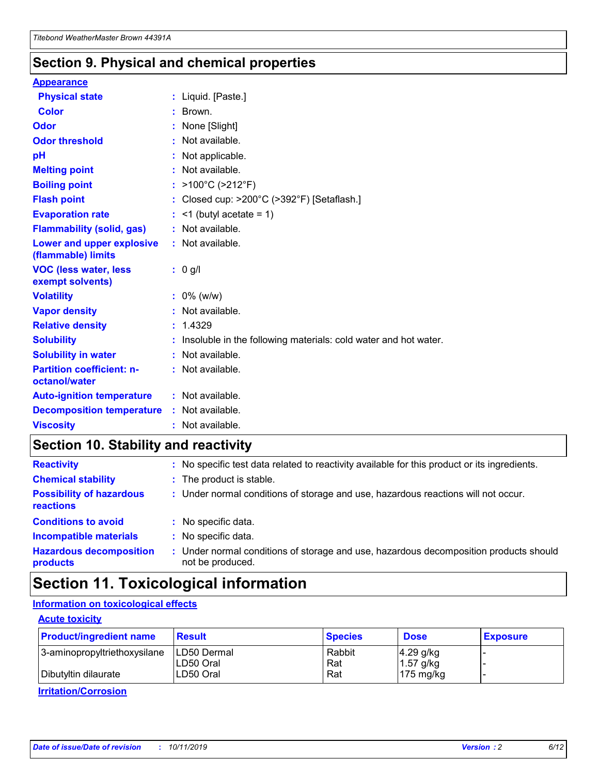### **Section 9. Physical and chemical properties**

#### **Appearance**

| <b>Physical state</b>                             | : Liquid. [Paste.]                                              |
|---------------------------------------------------|-----------------------------------------------------------------|
| <b>Color</b>                                      | : Brown.                                                        |
| Odor                                              | None [Slight]                                                   |
| <b>Odor threshold</b>                             | $:$ Not available.                                              |
| рH                                                | : Not applicable.                                               |
| <b>Melting point</b>                              | : Not available.                                                |
| <b>Boiling point</b>                              | : >100°C (>212°F)                                               |
| <b>Flash point</b>                                | : Closed cup: >200°C (>392°F) [Setaflash.]                      |
| <b>Evaporation rate</b>                           | $:$ <1 (butyl acetate = 1)                                      |
| <b>Flammability (solid, gas)</b>                  | : Not available.                                                |
| Lower and upper explosive<br>(flammable) limits   | : Not available.                                                |
| <b>VOC (less water, less</b>                      | $: 0$ g/l                                                       |
| exempt solvents)                                  |                                                                 |
| <b>Volatility</b>                                 | $: 0\%$ (w/w)                                                   |
| <b>Vapor density</b>                              | : Not available.                                                |
| <b>Relative density</b>                           | : 1.4329                                                        |
| <b>Solubility</b>                                 | Insoluble in the following materials: cold water and hot water. |
| <b>Solubility in water</b>                        | : Not available.                                                |
| <b>Partition coefficient: n-</b><br>octanol/water | $:$ Not available.                                              |
| <b>Auto-ignition temperature</b>                  | : Not available.                                                |
| <b>Decomposition temperature</b>                  | : Not available.                                                |

## **Section 10. Stability and reactivity**

| <b>Reactivity</b>                            | : No specific test data related to reactivity available for this product or its ingredients.            |
|----------------------------------------------|---------------------------------------------------------------------------------------------------------|
| <b>Chemical stability</b>                    | : The product is stable.                                                                                |
| <b>Possibility of hazardous</b><br>reactions | : Under normal conditions of storage and use, hazardous reactions will not occur.                       |
| <b>Conditions to avoid</b>                   | : No specific data.                                                                                     |
| <b>Incompatible materials</b>                | : No specific data.                                                                                     |
| <b>Hazardous decomposition</b><br>products   | Under normal conditions of storage and use, hazardous decomposition products should<br>not be produced. |

# **Section 11. Toxicological information**

### **Information on toxicological effects**

#### **Acute toxicity**

| <b>Product/ingredient name</b> | <b>Result</b> | <b>Species</b> | <b>Dose</b>         | <b>Exposure</b> |
|--------------------------------|---------------|----------------|---------------------|-----------------|
| 3-aminopropyltriethoxysilane   | ILD50 Dermal  | Rabbit         | $4.29$ g/kg         |                 |
|                                | ILD50 Oral    | Rat            | $1.57$ g/kg         |                 |
| Dibutyltin dilaurate           | LD50 Oral     | Rat            | $175 \text{ mg/kg}$ |                 |

**Irritation/Corrosion**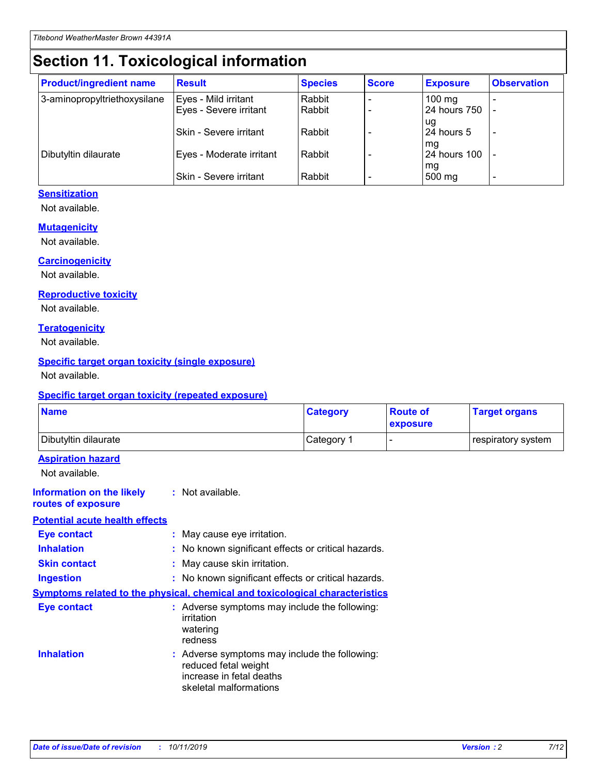# **Section 11. Toxicological information**

| <b>Product/ingredient name</b> | <b>Result</b>            | <b>Species</b> | <b>Score</b> | <b>Exposure</b>           | <b>Observation</b> |
|--------------------------------|--------------------------|----------------|--------------|---------------------------|--------------------|
| 3-aminopropyltriethoxysilane   | Eyes - Mild irritant     | Rabbit         |              | $100$ mg                  |                    |
|                                | Eyes - Severe irritant   | Rabbit         |              | 24 hours 750              |                    |
|                                |                          |                |              | ug                        |                    |
|                                | Skin - Severe irritant   | Rabbit         |              | 24 hours 5                | -                  |
| Dibutyltin dilaurate           | Eyes - Moderate irritant | Rabbit         |              | mq<br><b>24 hours 100</b> |                    |
|                                |                          |                |              | mg                        |                    |
|                                | Skin - Severe irritant   | Rabbit         |              | 500 mg                    |                    |

#### **Sensitization**

Not available.

#### **Mutagenicity**

Not available.

#### **Carcinogenicity**

Not available.

#### **Reproductive toxicity**

Not available.

#### **Teratogenicity**

Not available.

#### **Specific target organ toxicity (single exposure)**

Not available.

#### **Specific target organ toxicity (repeated exposure)**

| <b>Name</b>                                                                  |                                                                                                                             | <b>Category</b> | <b>Route of</b><br>exposure  | <b>Target organs</b> |
|------------------------------------------------------------------------------|-----------------------------------------------------------------------------------------------------------------------------|-----------------|------------------------------|----------------------|
| Dibutyltin dilaurate                                                         |                                                                                                                             | Category 1      | $\qquad \qquad \blacksquare$ | respiratory system   |
| <b>Aspiration hazard</b><br>Not available.                                   |                                                                                                                             |                 |                              |                      |
| <b>Information on the likely</b><br>routes of exposure                       | : Not available.                                                                                                            |                 |                              |                      |
| <b>Potential acute health effects</b>                                        |                                                                                                                             |                 |                              |                      |
| <b>Eye contact</b>                                                           | : May cause eye irritation.                                                                                                 |                 |                              |                      |
| <b>Inhalation</b>                                                            | : No known significant effects or critical hazards.                                                                         |                 |                              |                      |
| <b>Skin contact</b>                                                          | : May cause skin irritation.                                                                                                |                 |                              |                      |
| <b>Ingestion</b>                                                             | : No known significant effects or critical hazards.                                                                         |                 |                              |                      |
| Symptoms related to the physical, chemical and toxicological characteristics |                                                                                                                             |                 |                              |                      |
| <b>Eye contact</b>                                                           | : Adverse symptoms may include the following:<br>irritation<br>watering<br>redness                                          |                 |                              |                      |
| <b>Inhalation</b>                                                            | : Adverse symptoms may include the following:<br>reduced fetal weight<br>increase in fetal deaths<br>skeletal malformations |                 |                              |                      |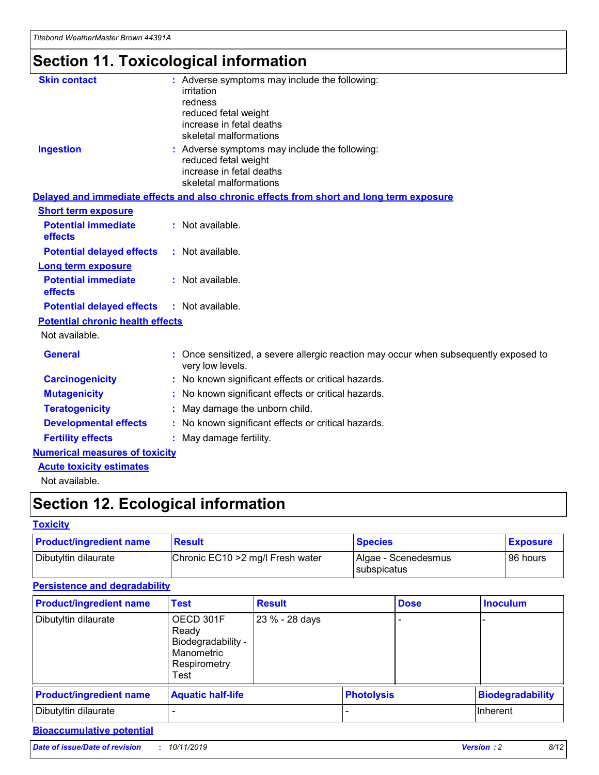# **Section 11. Toxicological information**

| <b>Skin contact</b>                     | : Adverse symptoms may include the following:                                                          |
|-----------------------------------------|--------------------------------------------------------------------------------------------------------|
|                                         | irritation<br>redness                                                                                  |
|                                         | reduced fetal weight                                                                                   |
|                                         | increase in fetal deaths                                                                               |
|                                         | skeletal malformations                                                                                 |
| <b>Ingestion</b>                        | : Adverse symptoms may include the following:                                                          |
|                                         | reduced fetal weight<br>increase in fetal deaths                                                       |
|                                         | skeletal malformations                                                                                 |
|                                         | Delayed and immediate effects and also chronic effects from short and long term exposure               |
| <b>Short term exposure</b>              |                                                                                                        |
| <b>Potential immediate</b>              | : Not available.                                                                                       |
| effects                                 |                                                                                                        |
| <b>Potential delayed effects</b>        | : Not available.                                                                                       |
| <b>Long term exposure</b>               |                                                                                                        |
| <b>Potential immediate</b>              | : Not available.                                                                                       |
| effects                                 |                                                                                                        |
| <b>Potential delayed effects</b>        | : Not available.                                                                                       |
| <b>Potential chronic health effects</b> |                                                                                                        |
| Not available.                          |                                                                                                        |
| <b>General</b>                          | Once sensitized, a severe allergic reaction may occur when subsequently exposed to<br>very low levels. |
| <b>Carcinogenicity</b>                  | : No known significant effects or critical hazards.                                                    |
| <b>Mutagenicity</b>                     | No known significant effects or critical hazards.                                                      |
| <b>Teratogenicity</b>                   | May damage the unborn child.                                                                           |
| <b>Developmental effects</b>            | : No known significant effects or critical hazards.                                                    |
| <b>Fertility effects</b>                | May damage fertility.                                                                                  |
| <b>Numerical measures of toxicity</b>   |                                                                                                        |
| <b>Acute toxicity estimates</b>         |                                                                                                        |
| المسابق المستنقذ والمستنبذ والمستنب     |                                                                                                        |

Not available.

# **Section 12. Ecological information**

#### **Toxicity**

| <b>Product/ingredient name</b> | <b>Result</b>                     | <b>Species</b>                       | <b>Exposure</b> |
|--------------------------------|-----------------------------------|--------------------------------------|-----------------|
| Dibutyltin dilaurate           | Chronic EC10 > 2 mg/l Fresh water | Algae - Scenedesmus<br>I subspicatus | l 96 hours i    |

### **Persistence and degradability**

| <b>Product/ingredient name</b> | <b>Test</b>                                                                    | <b>Result</b>  |  | <b>Dose</b>       | <b>Inoculum</b>         |
|--------------------------------|--------------------------------------------------------------------------------|----------------|--|-------------------|-------------------------|
| Dibutyltin dilaurate           | OECD 301F<br>Ready<br>Biodegradability -<br>Manometric<br>Respirometry<br>Test | 23 % - 28 days |  |                   |                         |
| <b>Product/ingredient name</b> | <b>Aquatic half-life</b>                                                       |                |  | <b>Photolysis</b> | <b>Biodegradability</b> |
| Dibutyltin dilaurate           |                                                                                |                |  |                   | Inherent                |

### **Bioaccumulative potential**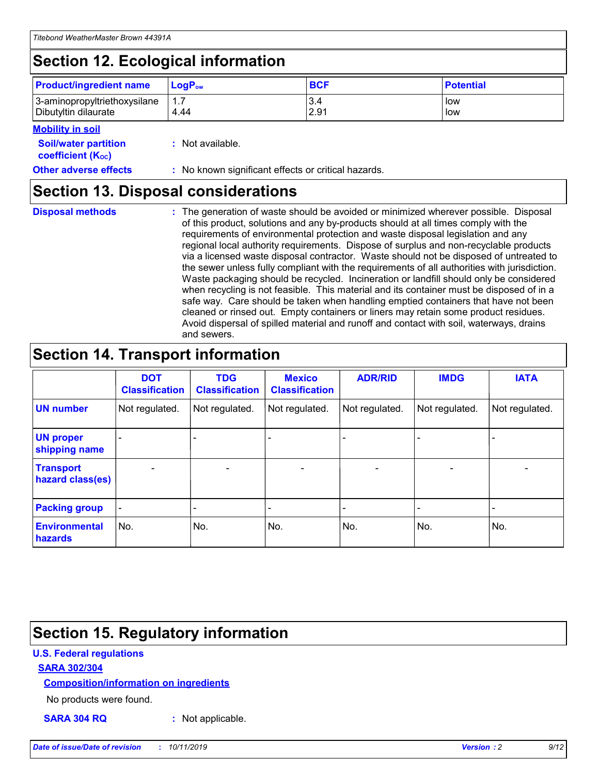# **Section 12. Ecological information**

| <b>Product/ingredient name</b> | $LoaPow$ | <b>BCF</b> | <b>Potential</b> |
|--------------------------------|----------|------------|------------------|
| 3-aminopropyltriethoxysilane   | 4.44     | 3.4        | low              |
| Dibutyltin dilaurate           |          | 2.91       | low              |

#### **Mobility in soil**

| <b>Soil/water partition</b><br>coefficient (K <sub>oc</sub> ) | : Not available.                                    |
|---------------------------------------------------------------|-----------------------------------------------------|
| <b>Other adverse effects</b>                                  | : No known significant effects or critical hazards. |

### **Section 13. Disposal considerations**

**Disposal methods :**

The generation of waste should be avoided or minimized wherever possible. Disposal of this product, solutions and any by-products should at all times comply with the requirements of environmental protection and waste disposal legislation and any regional local authority requirements. Dispose of surplus and non-recyclable products via a licensed waste disposal contractor. Waste should not be disposed of untreated to the sewer unless fully compliant with the requirements of all authorities with jurisdiction. Waste packaging should be recycled. Incineration or landfill should only be considered when recycling is not feasible. This material and its container must be disposed of in a safe way. Care should be taken when handling emptied containers that have not been cleaned or rinsed out. Empty containers or liners may retain some product residues. Avoid dispersal of spilled material and runoff and contact with soil, waterways, drains and sewers.

# **Section 14. Transport information**

|                                      | <b>DOT</b><br><b>Classification</b> | <b>TDG</b><br><b>Classification</b> | <b>Mexico</b><br><b>Classification</b> | <b>ADR/RID</b> | <b>IMDG</b>              | <b>IATA</b>              |
|--------------------------------------|-------------------------------------|-------------------------------------|----------------------------------------|----------------|--------------------------|--------------------------|
| <b>UN number</b>                     | Not regulated.                      | Not regulated.                      | Not regulated.                         | Not regulated. | Not regulated.           | Not regulated.           |
| <b>UN proper</b><br>shipping name    | $\blacksquare$                      |                                     |                                        |                |                          |                          |
| <b>Transport</b><br>hazard class(es) | $\blacksquare$                      | $\overline{\phantom{a}}$            | $\blacksquare$                         | $\blacksquare$ | $\overline{\phantom{a}}$ | $\blacksquare$           |
| <b>Packing group</b>                 | $\overline{\phantom{a}}$            | $\overline{\phantom{0}}$            | $\overline{\phantom{a}}$               | -              | $\overline{\phantom{0}}$ | $\overline{\phantom{a}}$ |
| <b>Environmental</b><br>hazards      | No.                                 | No.                                 | No.                                    | No.            | No.                      | No.                      |

# **Section 15. Regulatory information**

#### **U.S. Federal regulations**

#### **SARA 302/304**

#### **Composition/information on ingredients**

No products were found.

**SARA 304 RQ :** Not applicable.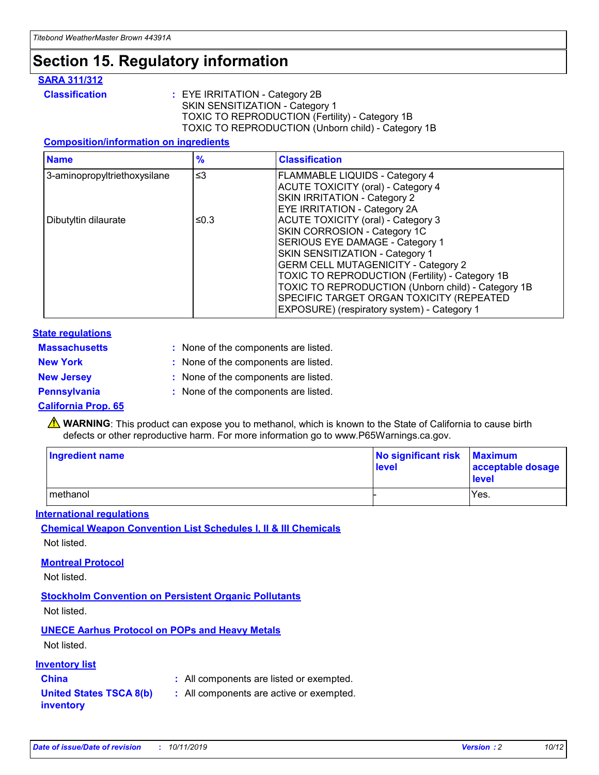# **Section 15. Regulatory information**

#### **SARA 311/312**

**Classification :** EYE IRRITATION - Category 2B SKIN SENSITIZATION - Category 1 TOXIC TO REPRODUCTION (Fertility) - Category 1B TOXIC TO REPRODUCTION (Unborn child) - Category 1B

#### **Composition/information on ingredients**

| <b>Name</b>                  | $\frac{9}{6}$ | <b>Classification</b>                                                                                            |
|------------------------------|---------------|------------------------------------------------------------------------------------------------------------------|
| 3-aminopropyltriethoxysilane | $\leq$ 3      | <b>FLAMMABLE LIQUIDS - Category 4</b><br><b>ACUTE TOXICITY (oral) - Category 4</b>                               |
|                              |               | SKIN IRRITATION - Category 2<br><b>EYE IRRITATION - Category 2A</b>                                              |
| Dibutyltin dilaurate         | ≤0.3          | ACUTE TOXICITY (oral) - Category 3<br>SKIN CORROSION - Category 1C                                               |
|                              |               | SERIOUS EYE DAMAGE - Category 1<br>SKIN SENSITIZATION - Category 1<br><b>GERM CELL MUTAGENICITY - Category 2</b> |
|                              |               | TOXIC TO REPRODUCTION (Fertility) - Category 1B<br>TOXIC TO REPRODUCTION (Unborn child) - Category 1B            |
|                              |               | SPECIFIC TARGET ORGAN TOXICITY (REPEATED<br>EXPOSURE) (respiratory system) - Category 1                          |

#### **State regulations**

| <b>Massachusetts</b> | : None of the components are listed. |
|----------------------|--------------------------------------|
| <b>New York</b>      | : None of the components are listed. |
| <b>New Jersey</b>    | : None of the components are listed. |
| <b>Pennsylvania</b>  | : None of the components are listed. |

#### **California Prop. 65**

**A** WARNING: This product can expose you to methanol, which is known to the State of California to cause birth defects or other reproductive harm. For more information go to www.P65Warnings.ca.gov.

| <b>Ingredient name</b> | No significant risk Maximum<br>level | acceptable dosage<br>level |
|------------------------|--------------------------------------|----------------------------|
| methanol               |                                      | Yes.                       |

#### **International regulations**

**Chemical Weapon Convention List Schedules I, II & III Chemicals** Not listed.

#### **Montreal Protocol**

Not listed.

**Stockholm Convention on Persistent Organic Pollutants**

Not listed.

### **UNECE Aarhus Protocol on POPs and Heavy Metals**

Not listed.

#### **Inventory list**

### **China :** All components are listed or exempted.

**United States TSCA 8(b) inventory :** All components are active or exempted.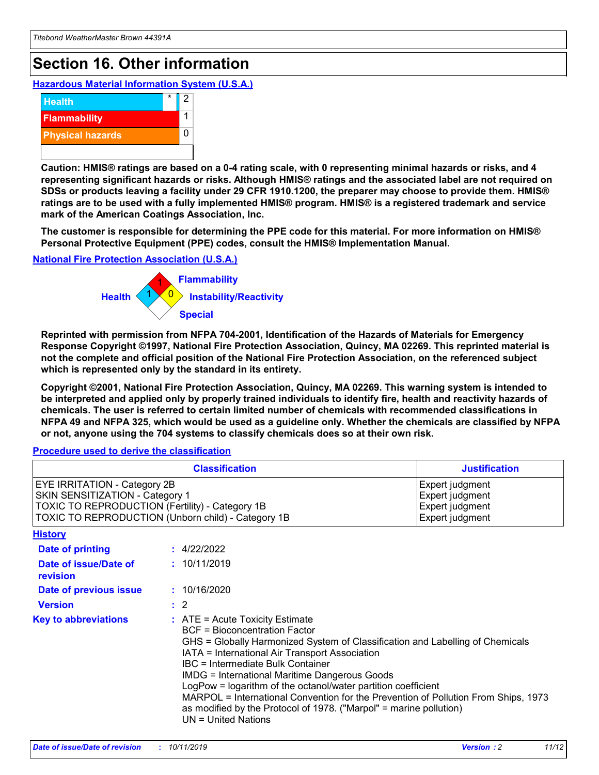# **Section 16. Other information**

**Hazardous Material Information System (U.S.A.)**



**Caution: HMIS® ratings are based on a 0-4 rating scale, with 0 representing minimal hazards or risks, and 4 representing significant hazards or risks. Although HMIS® ratings and the associated label are not required on SDSs or products leaving a facility under 29 CFR 1910.1200, the preparer may choose to provide them. HMIS® ratings are to be used with a fully implemented HMIS® program. HMIS® is a registered trademark and service mark of the American Coatings Association, Inc.**

**The customer is responsible for determining the PPE code for this material. For more information on HMIS® Personal Protective Equipment (PPE) codes, consult the HMIS® Implementation Manual.**

#### **National Fire Protection Association (U.S.A.)**



**Reprinted with permission from NFPA 704-2001, Identification of the Hazards of Materials for Emergency Response Copyright ©1997, National Fire Protection Association, Quincy, MA 02269. This reprinted material is not the complete and official position of the National Fire Protection Association, on the referenced subject which is represented only by the standard in its entirety.**

**Copyright ©2001, National Fire Protection Association, Quincy, MA 02269. This warning system is intended to be interpreted and applied only by properly trained individuals to identify fire, health and reactivity hazards of chemicals. The user is referred to certain limited number of chemicals with recommended classifications in NFPA 49 and NFPA 325, which would be used as a guideline only. Whether the chemicals are classified by NFPA or not, anyone using the 704 systems to classify chemicals does so at their own risk.**

#### **Procedure used to derive the classification**

| <b>Classification</b>                                                                                                                                                                  |                                                                                                                                                                                                                                                                   | <b>Justification</b>                                                                                                                                                                                                                                                                                       |  |
|----------------------------------------------------------------------------------------------------------------------------------------------------------------------------------------|-------------------------------------------------------------------------------------------------------------------------------------------------------------------------------------------------------------------------------------------------------------------|------------------------------------------------------------------------------------------------------------------------------------------------------------------------------------------------------------------------------------------------------------------------------------------------------------|--|
| <b>EYE IRRITATION - Category 2B</b><br>SKIN SENSITIZATION - Category 1<br><b>TOXIC TO REPRODUCTION (Fertility) - Category 1B</b><br>TOXIC TO REPRODUCTION (Unborn child) - Category 1B |                                                                                                                                                                                                                                                                   | Expert judgment<br>Expert judgment<br>Expert judgment<br>Expert judgment                                                                                                                                                                                                                                   |  |
| <b>History</b>                                                                                                                                                                         |                                                                                                                                                                                                                                                                   |                                                                                                                                                                                                                                                                                                            |  |
| <b>Date of printing</b>                                                                                                                                                                | : 4/22/2022                                                                                                                                                                                                                                                       |                                                                                                                                                                                                                                                                                                            |  |
| Date of issue/Date of<br>revision                                                                                                                                                      | : 10/11/2019                                                                                                                                                                                                                                                      |                                                                                                                                                                                                                                                                                                            |  |
| Date of previous issue                                                                                                                                                                 | : 10/16/2020                                                                                                                                                                                                                                                      |                                                                                                                                                                                                                                                                                                            |  |
| <b>Version</b>                                                                                                                                                                         | $\therefore$ 2                                                                                                                                                                                                                                                    |                                                                                                                                                                                                                                                                                                            |  |
| <b>Key to abbreviations</b>                                                                                                                                                            | $\therefore$ ATE = Acute Toxicity Estimate<br><b>BCF</b> = Bioconcentration Factor<br>IATA = International Air Transport Association<br><b>IBC</b> = Intermediate Bulk Container<br><b>IMDG = International Maritime Dangerous Goods</b><br>$UN = United Nations$ | GHS = Globally Harmonized System of Classification and Labelling of Chemicals<br>LogPow = logarithm of the octanol/water partition coefficient<br>MARPOL = International Convention for the Prevention of Pollution From Ships, 1973<br>as modified by the Protocol of 1978. ("Marpol" = marine pollution) |  |